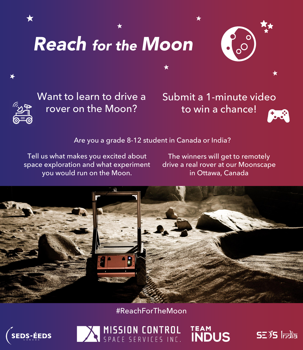# *Reach for the Moon*





Want to learn to drive a rover on the Moon?

Submit a 1-minute video to win a chance!

Are you a grade 8-12 student in Canada or India?

Tell us what makes you excited about space exploration and what experiment you would run on the Moon.

The winners will get to remotely drive a real rover at our Moonscape in Ottawa, Canada

TEAM<br>INDUS

 $52\frac{1}{5}$  lndia



#ReachForTheMoon

MISSION CONTROL

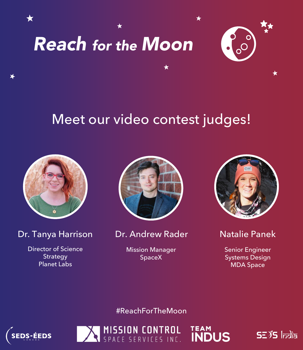



### Meet our video contest judges!



★

Dr. Tanya Harrison

Director of Science Strategy Planet Labs



Dr. Andrew Rader Natalie Panek

Mission Manager SpaceX



Senior Engineer Systems Design MDA Space

 $S<sub>2</sub>$  $S<sub>5</sub>$   $|<sub>rod</sub>$  $|<sub>5</sub>$ 

**TEAM**<br>INDUS

#ReachForTheMoon